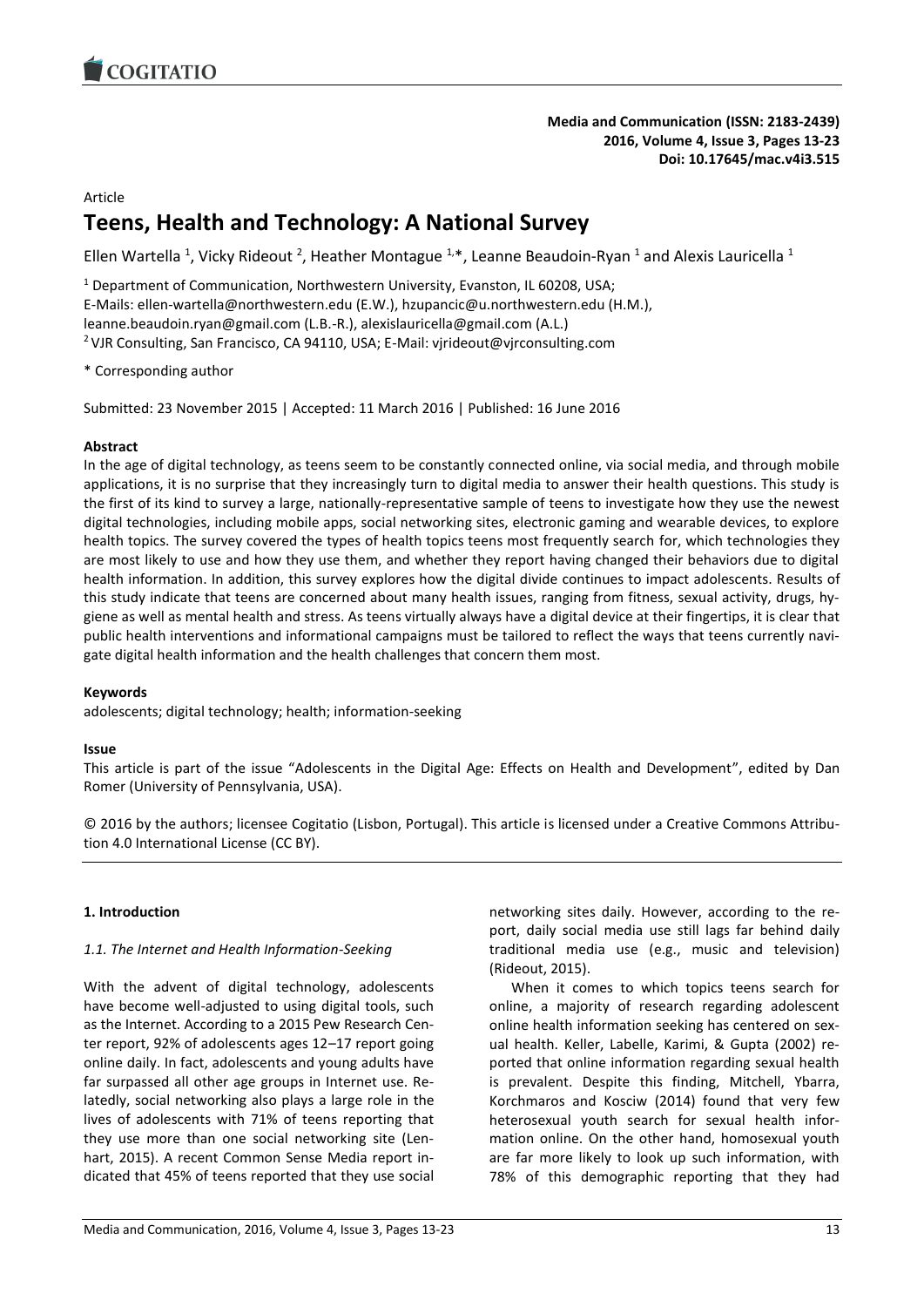

Article

# **Teens, Health and Technology: A National Survey**

Ellen Wartella <sup>1</sup>, Vicky Rideout <sup>2</sup>, Heather Montague <sup>1,\*</sup>, Leanne Beaudoin-Ryan <sup>1</sup> and Alexis Lauricella <sup>1</sup>

<sup>1</sup> Department of Communication, Northwestern University, Evanston, IL 60208, USA; E-Mails: ellen-wartella@northwestern.edu (E.W.), hzupancic@u.northwestern.edu (H.M.), leanne.beaudoin.ryan@gmail.com (L.B.-R.), alexislauricella@gmail.com (A.L.) <sup>2</sup> VJR Consulting, San Francisco, CA 94110, USA; E-Mail: vjrideout@vjrconsulting.com

\* Corresponding author

Submitted: 23 November 2015 | Accepted: 11 March 2016 | Published: 16 June 2016

#### **Abstract**

In the age of digital technology, as teens seem to be constantly connected online, via social media, and through mobile applications, it is no surprise that they increasingly turn to digital media to answer their health questions. This study is the first of its kind to survey a large, nationally-representative sample of teens to investigate how they use the newest digital technologies, including mobile apps, social networking sites, electronic gaming and wearable devices, to explore health topics. The survey covered the types of health topics teens most frequently search for, which technologies they are most likely to use and how they use them, and whether they report having changed their behaviors due to digital health information. In addition, this survey explores how the digital divide continues to impact adolescents. Results of this study indicate that teens are concerned about many health issues, ranging from fitness, sexual activity, drugs, hygiene as well as mental health and stress. As teens virtually always have a digital device at their fingertips, it is clear that public health interventions and informational campaigns must be tailored to reflect the ways that teens currently navigate digital health information and the health challenges that concern them most.

#### **Keywords**

adolescents; digital technology; health; information-seeking

#### **Issue**

This article is part of the issue "Adolescents in the Digital Age: Effects on Health and Development", edited by Dan Romer (University of Pennsylvania, USA).

© 2016 by the authors; licensee Cogitatio (Lisbon, Portugal). This article is licensed under a Creative Commons Attribution 4.0 International License (CC BY).

## **1. Introduction**

#### *1.1. The Internet and Health Information-Seeking*

With the advent of digital technology, adolescents have become well-adjusted to using digital tools, such as the Internet. According to a 2015 Pew Research Center report, 92% of adolescents ages 12–17 report going online daily. In fact, adolescents and young adults have far surpassed all other age groups in Internet use. Relatedly, social networking also plays a large role in the lives of adolescents with 71% of teens reporting that they use more than one social networking site (Lenhart, 2015). A recent Common Sense Media report indicated that 45% of teens reported that they use social networking sites daily. However, according to the report, daily social media use still lags far behind daily traditional media use (e.g., music and television) (Rideout, 2015).

When it comes to which topics teens search for online, a majority of research regarding adolescent online health information seeking has centered on sexual health. Keller, Labelle, Karimi, & Gupta (2002) reported that online information regarding sexual health is prevalent. Despite this finding, Mitchell, Ybarra, Korchmaros and Kosciw (2014) found that very few heterosexual youth search for sexual health information online. On the other hand, homosexual youth are far more likely to look up such information, with 78% of this demographic reporting that they had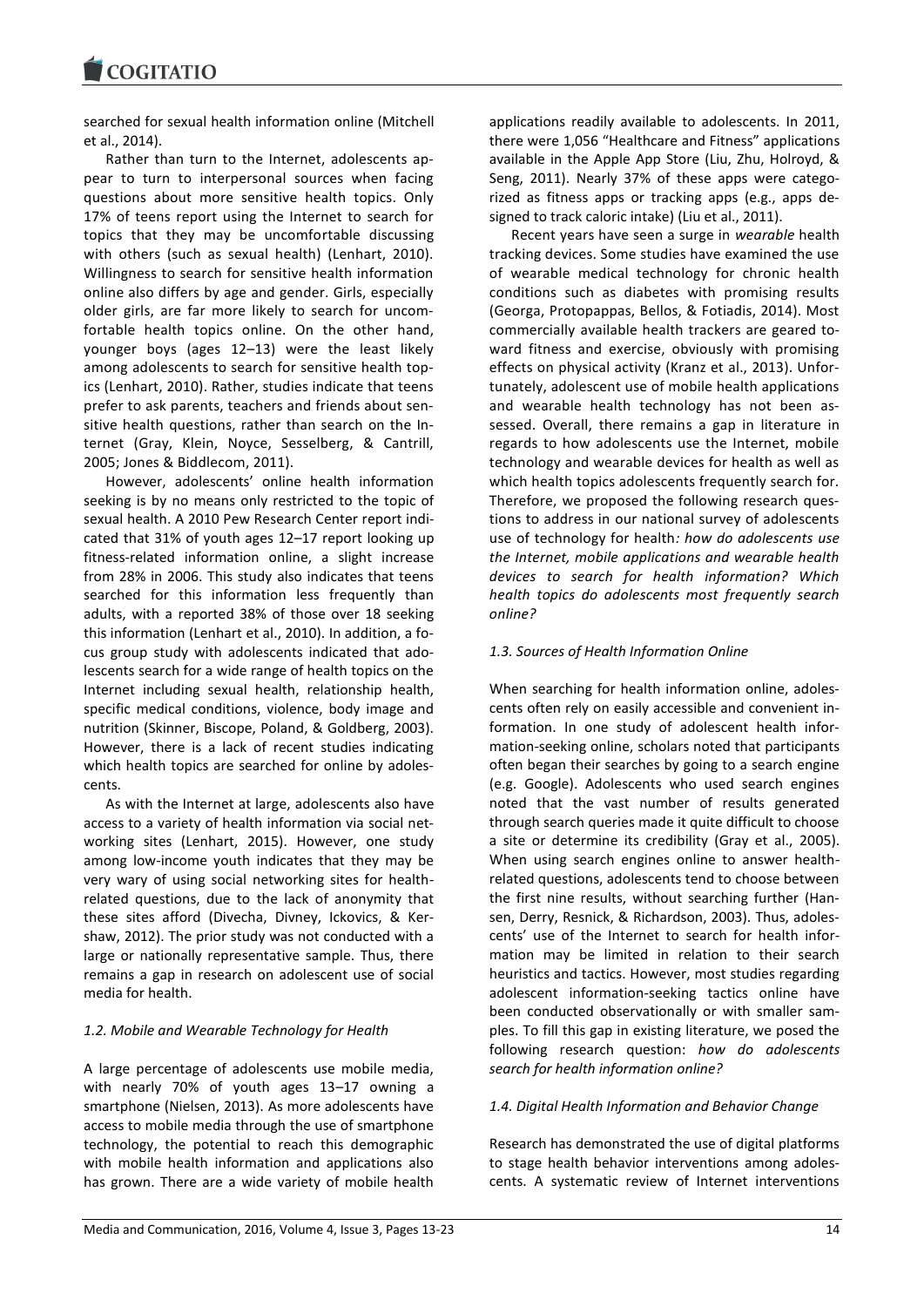searched for sexual health information online (Mitchell et al., 2014).

Rather than turn to the Internet, adolescents appear to turn to interpersonal sources when facing questions about more sensitive health topics. Only 17% of teens report using the Internet to search for topics that they may be uncomfortable discussing with others (such as sexual health) (Lenhart, 2010). Willingness to search for sensitive health information online also differs by age and gender. Girls, especially older girls, are far more likely to search for uncomfortable health topics online. On the other hand, younger boys (ages 12–13) were the least likely among adolescents to search for sensitive health topics (Lenhart, 2010). Rather, studies indicate that teens prefer to ask parents, teachers and friends about sensitive health questions, rather than search on the Internet (Gray, Klein, Noyce, Sesselberg, & Cantrill, 2005; Jones & Biddlecom, 2011).

However, adolescents' online health information seeking is by no means only restricted to the topic of sexual health. A 2010 Pew Research Center report indicated that 31% of youth ages 12–17 report looking up fitness-related information online, a slight increase from 28% in 2006. This study also indicates that teens searched for this information less frequently than adults, with a reported 38% of those over 18 seeking this information (Lenhart et al., 2010). In addition, a focus group study with adolescents indicated that adolescents search for a wide range of health topics on the Internet including sexual health, relationship health, specific medical conditions, violence, body image and nutrition (Skinner, Biscope, Poland, & Goldberg, 2003). However, there is a lack of recent studies indicating which health topics are searched for online by adolescents.

As with the Internet at large, adolescents also have access to a variety of health information via social networking sites (Lenhart, 2015). However, one study among low-income youth indicates that they may be very wary of using social networking sites for healthrelated questions, due to the lack of anonymity that these sites afford (Divecha, Divney, Ickovics, & Kershaw, 2012). The prior study was not conducted with a large or nationally representative sample. Thus, there remains a gap in research on adolescent use of social media for health.

# *1.2. Mobile and Wearable Technology for Health*

A large percentage of adolescents use mobile media, with nearly 70% of youth ages 13–17 owning a smartphone (Nielsen, 2013). As more adolescents have access to mobile media through the use of smartphone technology, the potential to reach this demographic with mobile health information and applications also has grown. There are a wide variety of mobile health applications readily available to adolescents. In 2011, there were 1,056 "Healthcare and Fitness" applications available in the Apple App Store (Liu, Zhu, Holroyd, & Seng, 2011). Nearly 37% of these apps were categorized as fitness apps or tracking apps (e.g., apps designed to track caloric intake) (Liu et al., 2011).

Recent years have seen a surge in *wearable* health tracking devices. Some studies have examined the use of wearable medical technology for chronic health conditions such as diabetes with promising results (Georga, Protopappas, Bellos, & Fotiadis, 2014). Most commercially available health trackers are geared toward fitness and exercise, obviously with promising effects on physical activity (Kranz et al., 2013). Unfortunately, adolescent use of mobile health applications and wearable health technology has not been assessed. Overall, there remains a gap in literature in regards to how adolescents use the Internet, mobile technology and wearable devices for health as well as which health topics adolescents frequently search for. Therefore, we proposed the following research questions to address in our national survey of adolescents use of technology for health*: how do adolescents use the Internet, mobile applications and wearable health devices to search for health information? Which health topics do adolescents most frequently search online?*

## *1.3. Sources of Health Information Online*

When searching for health information online, adolescents often rely on easily accessible and convenient information. In one study of adolescent health information-seeking online, scholars noted that participants often began their searches by going to a search engine (e.g. Google). Adolescents who used search engines noted that the vast number of results generated through search queries made it quite difficult to choose a site or determine its credibility (Gray et al., 2005). When using search engines online to answer healthrelated questions, adolescents tend to choose between the first nine results, without searching further (Hansen, Derry, Resnick, & Richardson, 2003). Thus, adolescents' use of the Internet to search for health information may be limited in relation to their search heuristics and tactics. However, most studies regarding adolescent information-seeking tactics online have been conducted observationally or with smaller samples. To fill this gap in existing literature, we posed the following research question: *how do adolescents search for health information online?*

## *1.4. Digital Health Information and Behavior Change*

Research has demonstrated the use of digital platforms to stage health behavior interventions among adolescents. A systematic review of Internet interventions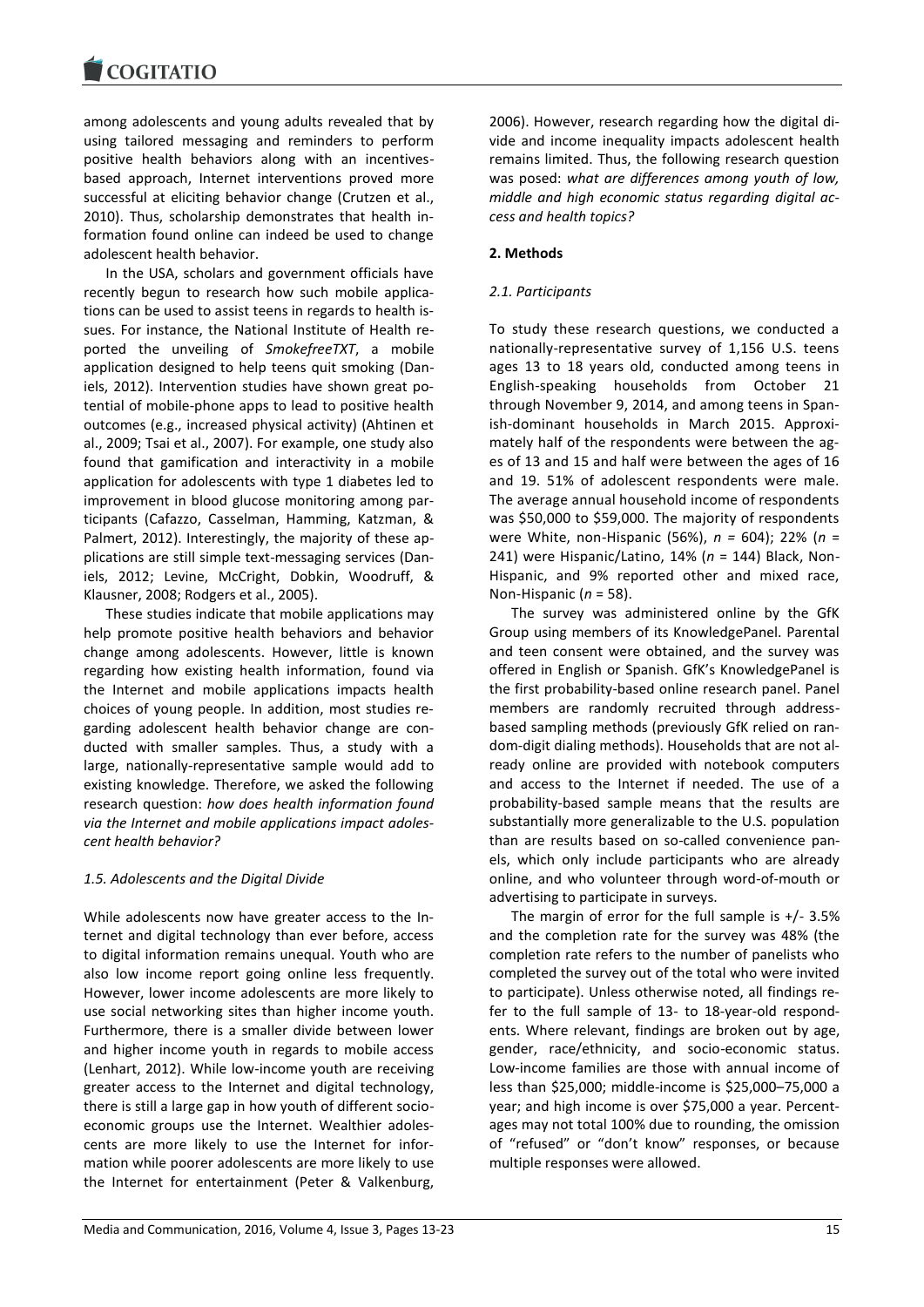among adolescents and young adults revealed that by using tailored messaging and reminders to perform positive health behaviors along with an incentivesbased approach, Internet interventions proved more successful at eliciting behavior change (Crutzen et al., 2010). Thus, scholarship demonstrates that health information found online can indeed be used to change adolescent health behavior.

In the USA, scholars and government officials have recently begun to research how such mobile applications can be used to assist teens in regards to health issues. For instance, the National Institute of Health reported the unveiling of *SmokefreeTXT*, a mobile application designed to help teens quit smoking (Daniels, 2012). Intervention studies have shown great potential of mobile-phone apps to lead to positive health outcomes (e.g., increased physical activity) (Ahtinen et al., 2009; Tsai et al., 2007). For example, one study also found that gamification and interactivity in a mobile application for adolescents with type 1 diabetes led to improvement in blood glucose monitoring among participants (Cafazzo, Casselman, Hamming, Katzman, & Palmert, 2012). Interestingly, the majority of these applications are still simple text-messaging services (Daniels, 2012; Levine, McCright, Dobkin, Woodruff, & Klausner, 2008; Rodgers et al., 2005).

These studies indicate that mobile applications may help promote positive health behaviors and behavior change among adolescents. However, little is known regarding how existing health information, found via the Internet and mobile applications impacts health choices of young people. In addition, most studies regarding adolescent health behavior change are conducted with smaller samples. Thus, a study with a large, nationally-representative sample would add to existing knowledge. Therefore, we asked the following research question: *how does health information found via the Internet and mobile applications impact adolescent health behavior?*

## *1.5. Adolescents and the Digital Divide*

While adolescents now have greater access to the Internet and digital technology than ever before, access to digital information remains unequal. Youth who are also low income report going online less frequently. However, lower income adolescents are more likely to use social networking sites than higher income youth. Furthermore, there is a smaller divide between lower and higher income youth in regards to mobile access (Lenhart, 2012). While low-income youth are receiving greater access to the Internet and digital technology, there is still a large gap in how youth of different socioeconomic groups use the Internet. Wealthier adolescents are more likely to use the Internet for information while poorer adolescents are more likely to use the Internet for entertainment (Peter & Valkenburg,

2006). However, research regarding how the digital divide and income inequality impacts adolescent health remains limited. Thus, the following research question was posed: *what are differences among youth of low, middle and high economic status regarding digital access and health topics?*

## **2. Methods**

# *2.1. Participants*

To study these research questions, we conducted a nationally-representative survey of 1,156 U.S. teens ages 13 to 18 years old, conducted among teens in English-speaking households from October 21 through November 9, 2014, and among teens in Spanish-dominant households in March 2015. Approximately half of the respondents were between the ages of 13 and 15 and half were between the ages of 16 and 19. 51% of adolescent respondents were male. The average annual household income of respondents was \$50,000 to \$59,000. The majority of respondents were White, non-Hispanic (56%), *n =* 604); 22% (*n* = 241) were Hispanic/Latino, 14% (*n* = 144) Black, Non-Hispanic, and 9% reported other and mixed race, Non-Hispanic (*n* = 58).

The survey was administered online by the GfK Group using members of its KnowledgePanel. Parental and teen consent were obtained, and the survey was offered in English or Spanish. GfK's KnowledgePanel is the first probability-based online research panel. Panel members are randomly recruited through addressbased sampling methods (previously GfK relied on random-digit dialing methods). Households that are not already online are provided with notebook computers and access to the Internet if needed. The use of a probability-based sample means that the results are substantially more generalizable to the U.S. population than are results based on so-called convenience panels, which only include participants who are already online, and who volunteer through word-of-mouth or advertising to participate in surveys.

The margin of error for the full sample is  $+/-3.5\%$ and the completion rate for the survey was 48% (the completion rate refers to the number of panelists who completed the survey out of the total who were invited to participate). Unless otherwise noted, all findings refer to the full sample of 13- to 18-year-old respondents. Where relevant, findings are broken out by age, gender, race/ethnicity, and socio-economic status. Low-income families are those with annual income of less than \$25,000; middle-income is \$25,000–75,000 a year; and high income is over \$75,000 a year. Percentages may not total 100% due to rounding, the omission of "refused" or "don't know" responses, or because multiple responses were allowed.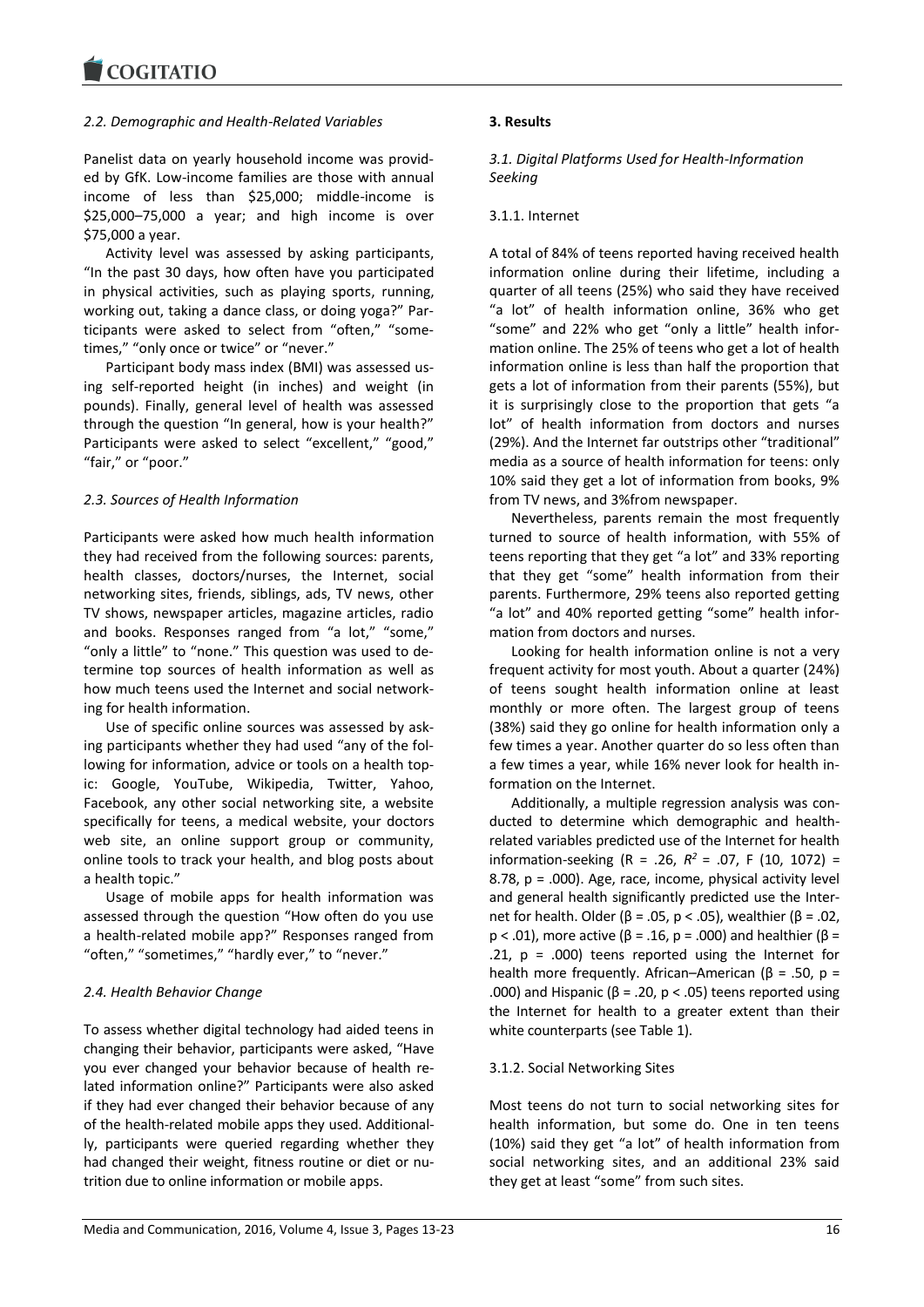## *2.2. Demographic and Health-Related Variables*

Panelist data on yearly household income was provided by GfK. Low-income families are those with annual income of less than \$25,000; middle-income is \$25,000–75,000 a year; and high income is over \$75,000 a year.

Activity level was assessed by asking participants, "In the past 30 days, how often have you participated in physical activities, such as playing sports, running, working out, taking a dance class, or doing yoga?" Participants were asked to select from "often," "sometimes," "only once or twice" or "never."

Participant body mass index (BMI) was assessed using self-reported height (in inches) and weight (in pounds). Finally, general level of health was assessed through the question "In general, how is your health?" Participants were asked to select "excellent," "good," "fair," or "poor."

# *2.3. Sources of Health Information*

Participants were asked how much health information they had received from the following sources: parents, health classes, doctors/nurses, the Internet, social networking sites, friends, siblings, ads, TV news, other TV shows, newspaper articles, magazine articles, radio and books. Responses ranged from "a lot," "some," "only a little" to "none." This question was used to determine top sources of health information as well as how much teens used the Internet and social networking for health information.

Use of specific online sources was assessed by asking participants whether they had used "any of the following for information, advice or tools on a health topic: Google, YouTube, Wikipedia, Twitter, Yahoo, Facebook, any other social networking site, a website specifically for teens, a medical website, your doctors web site, an online support group or community, online tools to track your health, and blog posts about a health topic."

Usage of mobile apps for health information was assessed through the question "How often do you use a health-related mobile app?" Responses ranged from "often," "sometimes," "hardly ever," to "never."

# *2.4. Health Behavior Change*

To assess whether digital technology had aided teens in changing their behavior, participants were asked, "Have you ever changed your behavior because of health related information online?" Participants were also asked if they had ever changed their behavior because of any of the health-related mobile apps they used. Additionally, participants were queried regarding whether they had changed their weight, fitness routine or diet or nutrition due to online information or mobile apps.

# **3. Results**

*3.1. Digital Platforms Used for Health-Information Seeking*

## 3.1.1. Internet

A total of 84% of teens reported having received health information online during their lifetime, including a quarter of all teens (25%) who said they have received "a lot" of health information online, 36% who get "some" and 22% who get "only a little" health information online. The 25% of teens who get a lot of health information online is less than half the proportion that gets a lot of information from their parents (55%), but it is surprisingly close to the proportion that gets "a lot" of health information from doctors and nurses (29%). And the Internet far outstrips other "traditional" media as a source of health information for teens: only 10% said they get a lot of information from books, 9% from TV news, and 3%from newspaper.

Nevertheless, parents remain the most frequently turned to source of health information, with 55% of teens reporting that they get "a lot" and 33% reporting that they get "some" health information from their parents. Furthermore, 29% teens also reported getting "a lot" and 40% reported getting "some" health information from doctors and nurses.

Looking for health information online is not a very frequent activity for most youth. About a quarter (24%) of teens sought health information online at least monthly or more often. The largest group of teens (38%) said they go online for health information only a few times a year. Another quarter do so less often than a few times a year, while 16% never look for health information on the Internet.

Additionally, a multiple regression analysis was conducted to determine which demographic and healthrelated variables predicted use of the Internet for health information-seeking (R = .26, *R <sup>2</sup>*= .07, F (10, 1072) = 8.78, p = .000). Age, race, income, physical activity level and general health significantly predicted use the Internet for health. Older (β = .05, p < .05), wealthier (β = .02, p < .01), more active (β = .16, p = .000) and healthier (β = .21,  $p = .000$ ) teens reported using the Internet for health more frequently. African–American (β = .50, p = .000) and Hispanic (β = .20, p < .05) teens reported using the Internet for health to a greater extent than their white counterparts (see Table 1).

# 3.1.2. Social Networking Sites

Most teens do not turn to social networking sites for health information, but some do. One in ten teens (10%) said they get "a lot" of health information from social networking sites, and an additional 23% said they get at least "some" from such sites.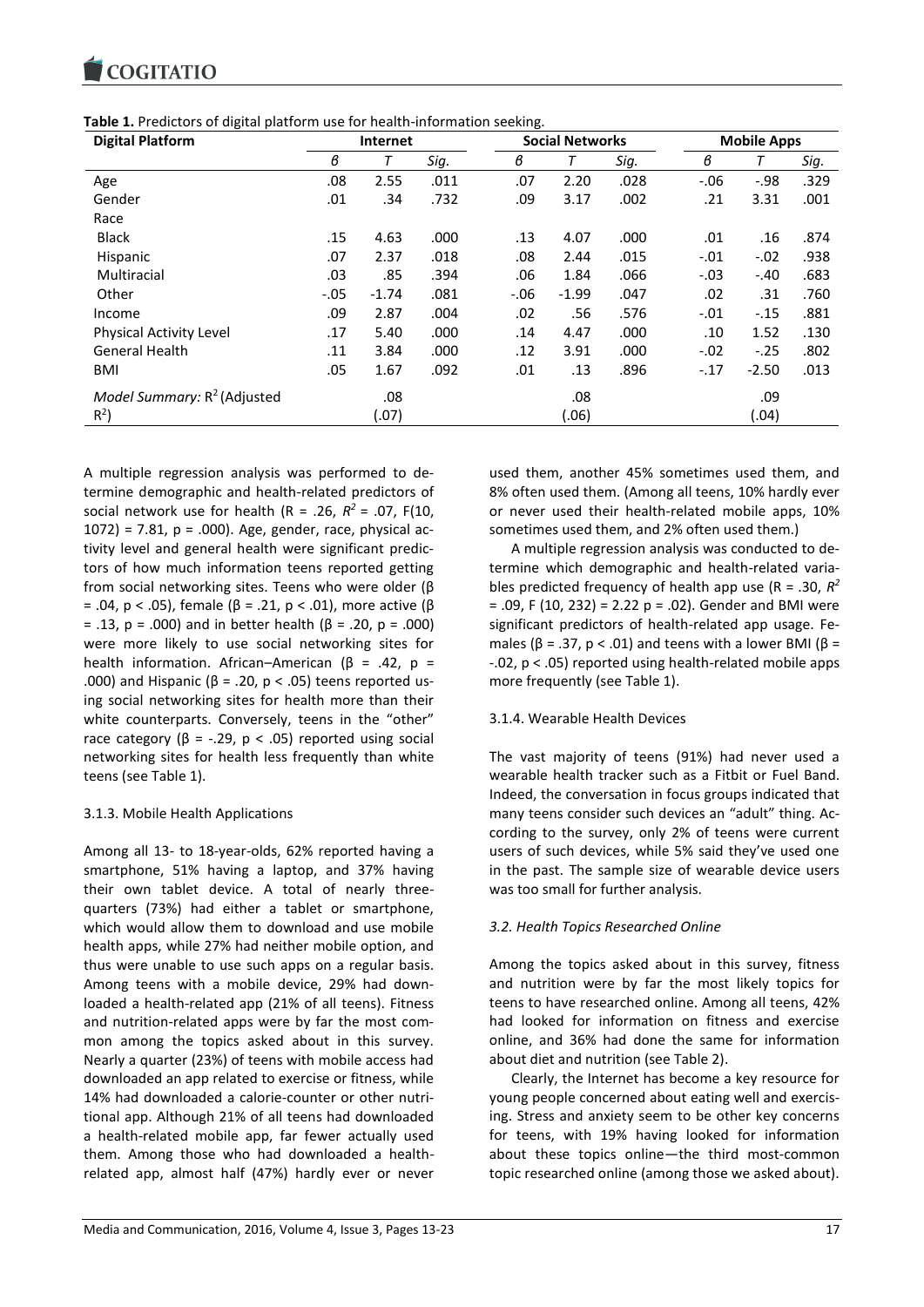

**Table 1.** Predictors of digital platform use for health-information seeking.

| <b>Digital Platform</b>                 | Internet |         | ັ    | <b>Social Networks</b> |         |      | <b>Mobile Apps</b> |         |      |
|-----------------------------------------|----------|---------|------|------------------------|---------|------|--------------------|---------|------|
|                                         | в        | т       | Sig. | в                      | Т       | Sig. | в                  |         | Sig. |
| Age                                     | .08      | 2.55    | .011 | .07                    | 2.20    | .028 | $-0.06$            | $-.98$  | .329 |
| Gender                                  | .01      | .34     | .732 | .09                    | 3.17    | .002 | .21                | 3.31    | .001 |
| Race                                    |          |         |      |                        |         |      |                    |         |      |
| <b>Black</b>                            | .15      | 4.63    | .000 | .13                    | 4.07    | .000 | .01                | .16     | .874 |
| Hispanic                                | .07      | 2.37    | .018 | .08                    | 2.44    | .015 | $-.01$             | $-.02$  | .938 |
| Multiracial                             | .03      | .85     | .394 | .06                    | 1.84    | .066 | $-.03$             | $-.40$  | .683 |
| Other                                   | $-.05$   | $-1.74$ | .081 | $-0.06$                | $-1.99$ | .047 | .02                | .31     | .760 |
| Income                                  | .09      | 2.87    | .004 | .02                    | .56     | .576 | $-.01$             | $-.15$  | .881 |
| Physical Activity Level                 | .17      | 5.40    | .000 | .14                    | 4.47    | .000 | .10                | 1.52    | .130 |
| <b>General Health</b>                   | .11      | 3.84    | .000 | .12                    | 3.91    | .000 | $-.02$             | $-.25$  | .802 |
| <b>BMI</b>                              | .05      | 1.67    | .092 | .01                    | .13     | .896 | $-.17$             | $-2.50$ | .013 |
| Model Summary: R <sup>2</sup> (Adjusted |          | .08     |      |                        | .08     |      |                    | .09     |      |
| $R^2$                                   |          | (.07)   |      |                        | (06)    |      |                    | (.04)   |      |

A multiple regression analysis was performed to determine demographic and health-related predictors of social network use for health  $(R = .26, R^2 = .07, F(10,$ 1072) = 7.81,  $p = .000$ ). Age, gender, race, physical activity level and general health were significant predictors of how much information teens reported getting from social networking sites. Teens who were older (β = .04, p < .05), female (β = .21, p < .01), more active (β = .13, p = .000) and in better health (β = .20, p = .000) were more likely to use social networking sites for health information. African–American (β = .42, p = .000) and Hispanic (β = .20, p < .05) teens reported using social networking sites for health more than their white counterparts. Conversely, teens in the "other" race category ( $β = -.29, p < .05$ ) reported using social networking sites for health less frequently than white teens (see Table 1).

## 3.1.3. Mobile Health Applications

Among all 13- to 18-year-olds, 62% reported having a smartphone, 51% having a laptop, and 37% having their own tablet device. A total of nearly threequarters (73%) had either a tablet or smartphone, which would allow them to download and use mobile health apps, while 27% had neither mobile option, and thus were unable to use such apps on a regular basis. Among teens with a mobile device, 29% had downloaded a health-related app (21% of all teens). Fitness and nutrition-related apps were by far the most common among the topics asked about in this survey. Nearly a quarter (23%) of teens with mobile access had downloaded an app related to exercise or fitness, while 14% had downloaded a calorie-counter or other nutritional app. Although 21% of all teens had downloaded a health-related mobile app, far fewer actually used them. Among those who had downloaded a healthrelated app, almost half (47%) hardly ever or never used them, another 45% sometimes used them, and 8% often used them. (Among all teens, 10% hardly ever or never used their health-related mobile apps, 10% sometimes used them, and 2% often used them.)

A multiple regression analysis was conducted to determine which demographic and health-related variables predicted frequency of health app use (R = .30, *R 2*   $= .09$ , F (10, 232) = 2.22 p = .02). Gender and BMI were significant predictors of health-related app usage. Females ( $\beta$  = .37,  $p < .01$ ) and teens with a lower BMI ( $\beta$  = -.02, p < .05) reported using health-related mobile apps more frequently (see Table 1).

## 3.1.4. Wearable Health Devices

The vast majority of teens (91%) had never used a wearable health tracker such as a Fitbit or Fuel Band. Indeed, the conversation in focus groups indicated that many teens consider such devices an "adult" thing. According to the survey, only 2% of teens were current users of such devices, while 5% said they've used one in the past. The sample size of wearable device users was too small for further analysis.

## *3.2. Health Topics Researched Online*

Among the topics asked about in this survey, fitness and nutrition were by far the most likely topics for teens to have researched online. Among all teens, 42% had looked for information on fitness and exercise online, and 36% had done the same for information about diet and nutrition (see Table 2).

Clearly, the Internet has become a key resource for young people concerned about eating well and exercising. Stress and anxiety seem to be other key concerns for teens, with 19% having looked for information about these topics online—the third most-common topic researched online (among those we asked about).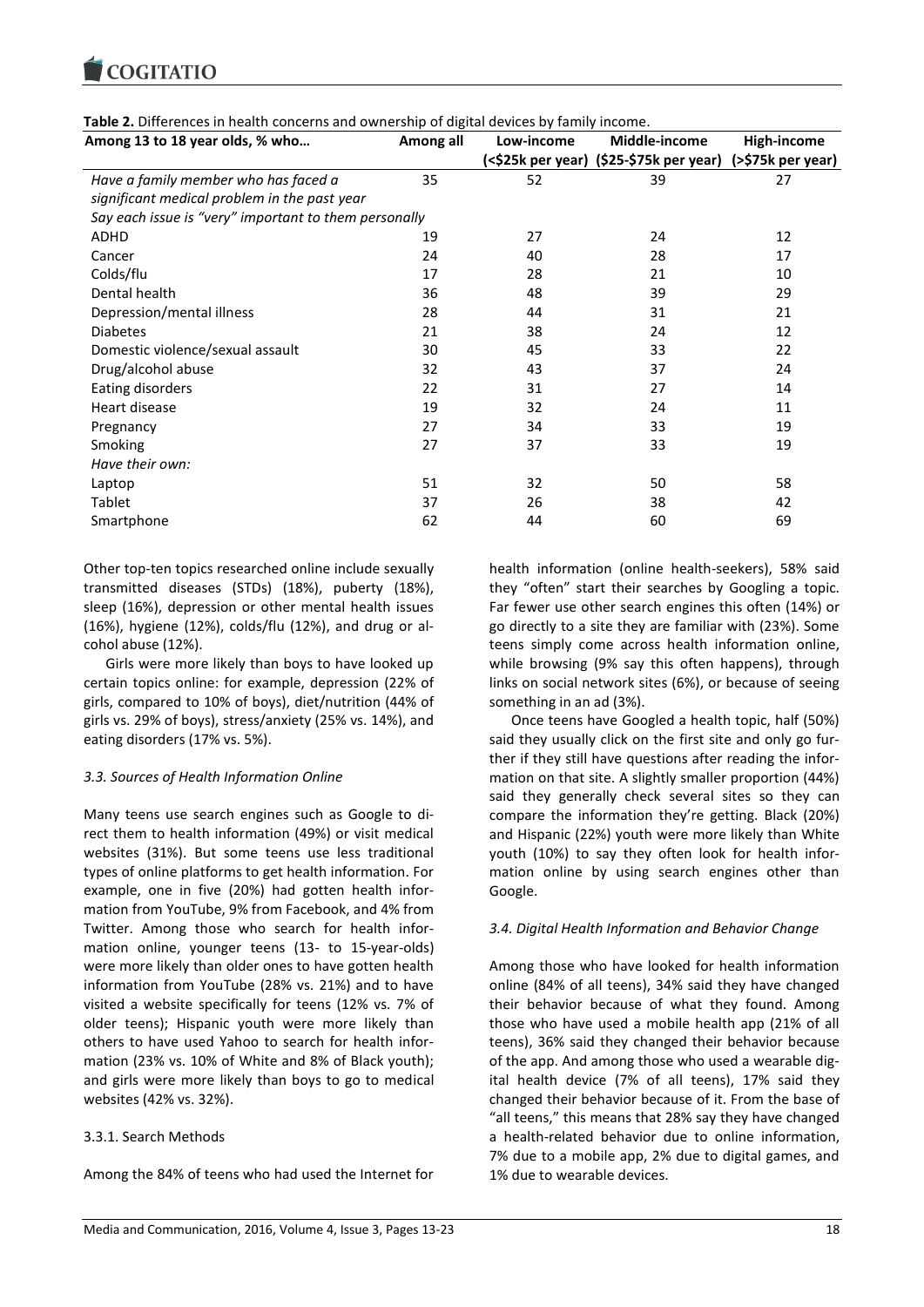**COGITATIO** 

| Among 13 to 18 year olds, % who                       | Among all | Low-income | Middle-income                                             | High-income |  |
|-------------------------------------------------------|-----------|------------|-----------------------------------------------------------|-------------|--|
|                                                       |           |            | (<\$25k per year) (\$25-\$75k per year) (>\$75k per year) |             |  |
| Have a family member who has faced a                  | 35        | 52         | 39                                                        | 27          |  |
| significant medical problem in the past year          |           |            |                                                           |             |  |
| Say each issue is "very" important to them personally |           |            |                                                           |             |  |
| <b>ADHD</b>                                           | 19        | 27         | 24                                                        | 12          |  |
| Cancer                                                | 24        | 40         | 28                                                        | 17          |  |
| Colds/flu                                             | 17        | 28         | 21                                                        | 10          |  |
| Dental health                                         | 36        | 48         | 39                                                        | 29          |  |
| Depression/mental illness                             | 28        | 44         | 31                                                        | 21          |  |
| <b>Diabetes</b>                                       | 21        | 38         | 24                                                        | 12          |  |
| Domestic violence/sexual assault                      | 30        | 45         | 33                                                        | 22          |  |
| Drug/alcohol abuse                                    | 32        | 43         | 37                                                        | 24          |  |
| Eating disorders                                      | 22        | 31         | 27                                                        | 14          |  |
| Heart disease                                         | 19        | 32         | 24                                                        | 11          |  |
| Pregnancy                                             | 27        | 34         | 33                                                        | 19          |  |
| Smoking                                               | 27        | 37         | 33                                                        | 19          |  |
| Have their own:                                       |           |            |                                                           |             |  |
| Laptop                                                | 51        | 32         | 50                                                        | 58          |  |
| Tablet                                                | 37        | 26         | 38                                                        | 42          |  |
| Smartphone                                            | 62        | 44         | 60                                                        | 69          |  |

**Table 2.** Differences in health concerns and ownership of digital devices by family income.

Other top-ten topics researched online include sexually transmitted diseases (STDs) (18%), puberty (18%), sleep (16%), depression or other mental health issues (16%), hygiene (12%), colds/flu (12%), and drug or alcohol abuse (12%).

Girls were more likely than boys to have looked up certain topics online: for example, depression (22% of girls, compared to 10% of boys), diet/nutrition (44% of girls vs. 29% of boys), stress/anxiety (25% vs. 14%), and eating disorders (17% vs. 5%).

# *3.3. Sources of Health Information Online*

Many teens use search engines such as Google to direct them to health information (49%) or visit medical websites (31%). But some teens use less traditional types of online platforms to get health information. For example, one in five (20%) had gotten health information from YouTube, 9% from Facebook, and 4% from Twitter. Among those who search for health information online, younger teens (13- to 15-year-olds) were more likely than older ones to have gotten health information from YouTube (28% vs. 21%) and to have visited a website specifically for teens (12% vs. 7% of older teens); Hispanic youth were more likely than others to have used Yahoo to search for health information (23% vs. 10% of White and 8% of Black youth); and girls were more likely than boys to go to medical websites (42% vs. 32%).

# 3.3.1. Search Methods

Among the 84% of teens who had used the Internet for

health information (online health-seekers), 58% said they "often" start their searches by Googling a topic. Far fewer use other search engines this often (14%) or go directly to a site they are familiar with (23%). Some teens simply come across health information online, while browsing (9% say this often happens), through links on social network sites (6%), or because of seeing something in an ad (3%).

Once teens have Googled a health topic, half (50%) said they usually click on the first site and only go further if they still have questions after reading the information on that site. A slightly smaller proportion (44%) said they generally check several sites so they can compare the information they're getting. Black (20%) and Hispanic (22%) youth were more likely than White youth (10%) to say they often look for health information online by using search engines other than Google.

# *3.4. Digital Health Information and Behavior Change*

Among those who have looked for health information online (84% of all teens), 34% said they have changed their behavior because of what they found. Among those who have used a mobile health app (21% of all teens), 36% said they changed their behavior because of the app. And among those who used a wearable digital health device (7% of all teens), 17% said they changed their behavior because of it. From the base of "all teens," this means that 28% say they have changed a health-related behavior due to online information, 7% due to a mobile app, 2% due to digital games, and 1% due to wearable devices.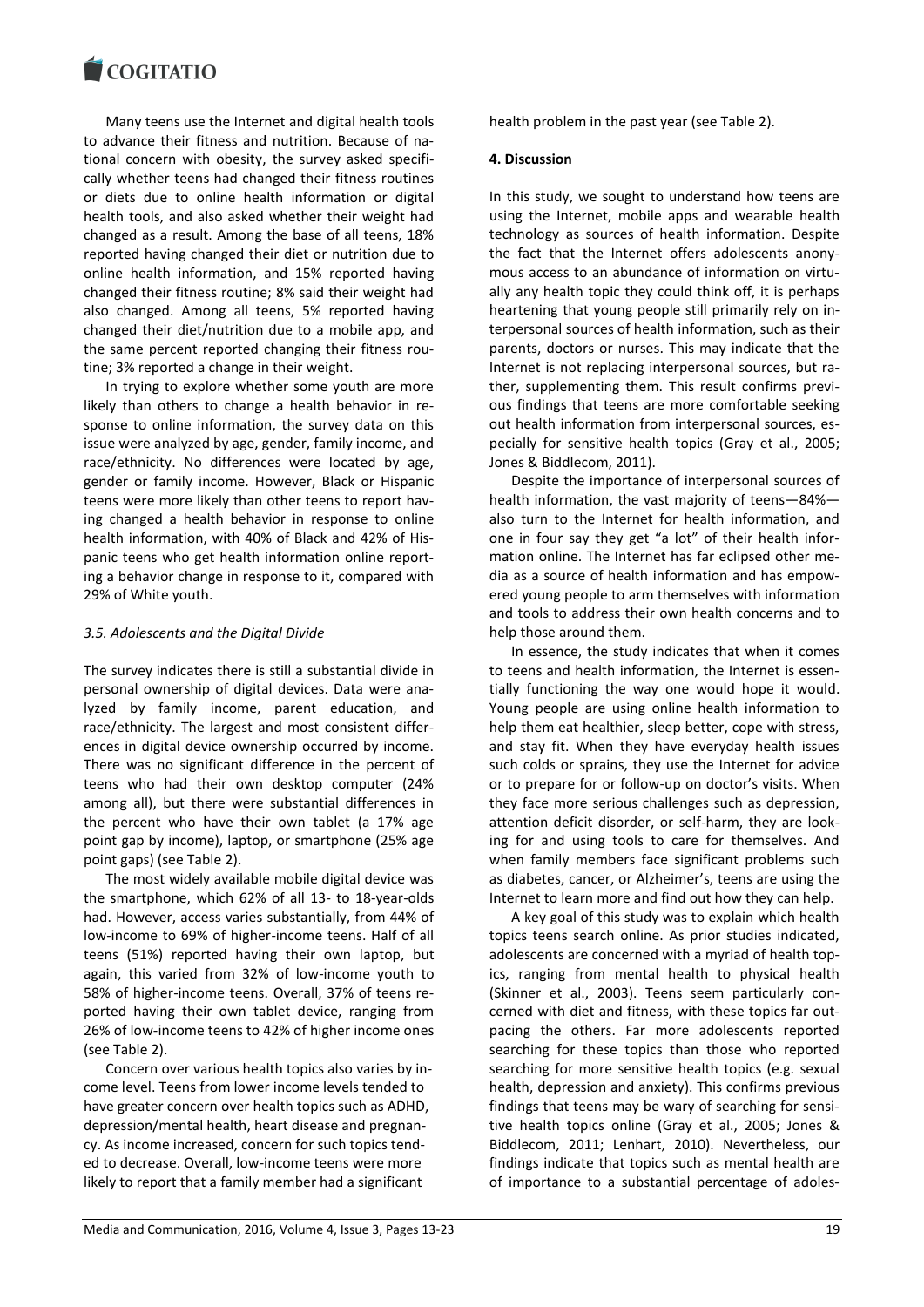Many teens use the Internet and digital health tools to advance their fitness and nutrition. Because of national concern with obesity, the survey asked specifically whether teens had changed their fitness routines or diets due to online health information or digital health tools, and also asked whether their weight had changed as a result. Among the base of all teens, 18% reported having changed their diet or nutrition due to online health information, and 15% reported having changed their fitness routine; 8% said their weight had also changed. Among all teens, 5% reported having changed their diet/nutrition due to a mobile app, and the same percent reported changing their fitness routine; 3% reported a change in their weight.

In trying to explore whether some youth are more likely than others to change a health behavior in response to online information, the survey data on this issue were analyzed by age, gender, family income, and race/ethnicity. No differences were located by age, gender or family income. However, Black or Hispanic teens were more likely than other teens to report having changed a health behavior in response to online health information, with 40% of Black and 42% of Hispanic teens who get health information online reporting a behavior change in response to it, compared with 29% of White youth.

## *3.5. Adolescents and the Digital Divide*

The survey indicates there is still a substantial divide in personal ownership of digital devices. Data were analyzed by family income, parent education, and race/ethnicity. The largest and most consistent differences in digital device ownership occurred by income. There was no significant difference in the percent of teens who had their own desktop computer (24% among all), but there were substantial differences in the percent who have their own tablet (a 17% age point gap by income), laptop, or smartphone (25% age point gaps) (see Table 2).

The most widely available mobile digital device was the smartphone, which 62% of all 13- to 18-year-olds had. However, access varies substantially, from 44% of low-income to 69% of higher-income teens. Half of all teens (51%) reported having their own laptop, but again, this varied from 32% of low-income youth to 58% of higher-income teens. Overall, 37% of teens reported having their own tablet device, ranging from 26% of low-income teens to 42% of higher income ones (see Table 2).

Concern over various health topics also varies by income level. Teens from lower income levels tended to have greater concern over health topics such as ADHD, depression/mental health, heart disease and pregnancy. As income increased, concern for such topics tended to decrease. Overall, low-income teens were more likely to report that a family member had a significant

health problem in the past year (see Table 2).

#### **4. Discussion**

In this study, we sought to understand how teens are using the Internet, mobile apps and wearable health technology as sources of health information. Despite the fact that the Internet offers adolescents anonymous access to an abundance of information on virtually any health topic they could think off, it is perhaps heartening that young people still primarily rely on interpersonal sources of health information, such as their parents, doctors or nurses. This may indicate that the Internet is not replacing interpersonal sources, but rather, supplementing them. This result confirms previous findings that teens are more comfortable seeking out health information from interpersonal sources, especially for sensitive health topics (Gray et al., 2005; Jones & Biddlecom, 2011).

Despite the importance of interpersonal sources of health information, the vast majority of teens—84% also turn to the Internet for health information, and one in four say they get "a lot" of their health information online. The Internet has far eclipsed other media as a source of health information and has empowered young people to arm themselves with information and tools to address their own health concerns and to help those around them.

In essence, the study indicates that when it comes to teens and health information, the Internet is essentially functioning the way one would hope it would. Young people are using online health information to help them eat healthier, sleep better, cope with stress, and stay fit. When they have everyday health issues such colds or sprains, they use the Internet for advice or to prepare for or follow-up on doctor's visits. When they face more serious challenges such as depression, attention deficit disorder, or self-harm, they are looking for and using tools to care for themselves. And when family members face significant problems such as diabetes, cancer, or Alzheimer's, teens are using the Internet to learn more and find out how they can help.

A key goal of this study was to explain which health topics teens search online. As prior studies indicated, adolescents are concerned with a myriad of health topics, ranging from mental health to physical health (Skinner et al., 2003). Teens seem particularly concerned with diet and fitness, with these topics far outpacing the others. Far more adolescents reported searching for these topics than those who reported searching for more sensitive health topics (e.g. sexual health, depression and anxiety). This confirms previous findings that teens may be wary of searching for sensitive health topics online (Gray et al., 2005; Jones & Biddlecom, 2011; Lenhart, 2010). Nevertheless, our findings indicate that topics such as mental health are of importance to a substantial percentage of adoles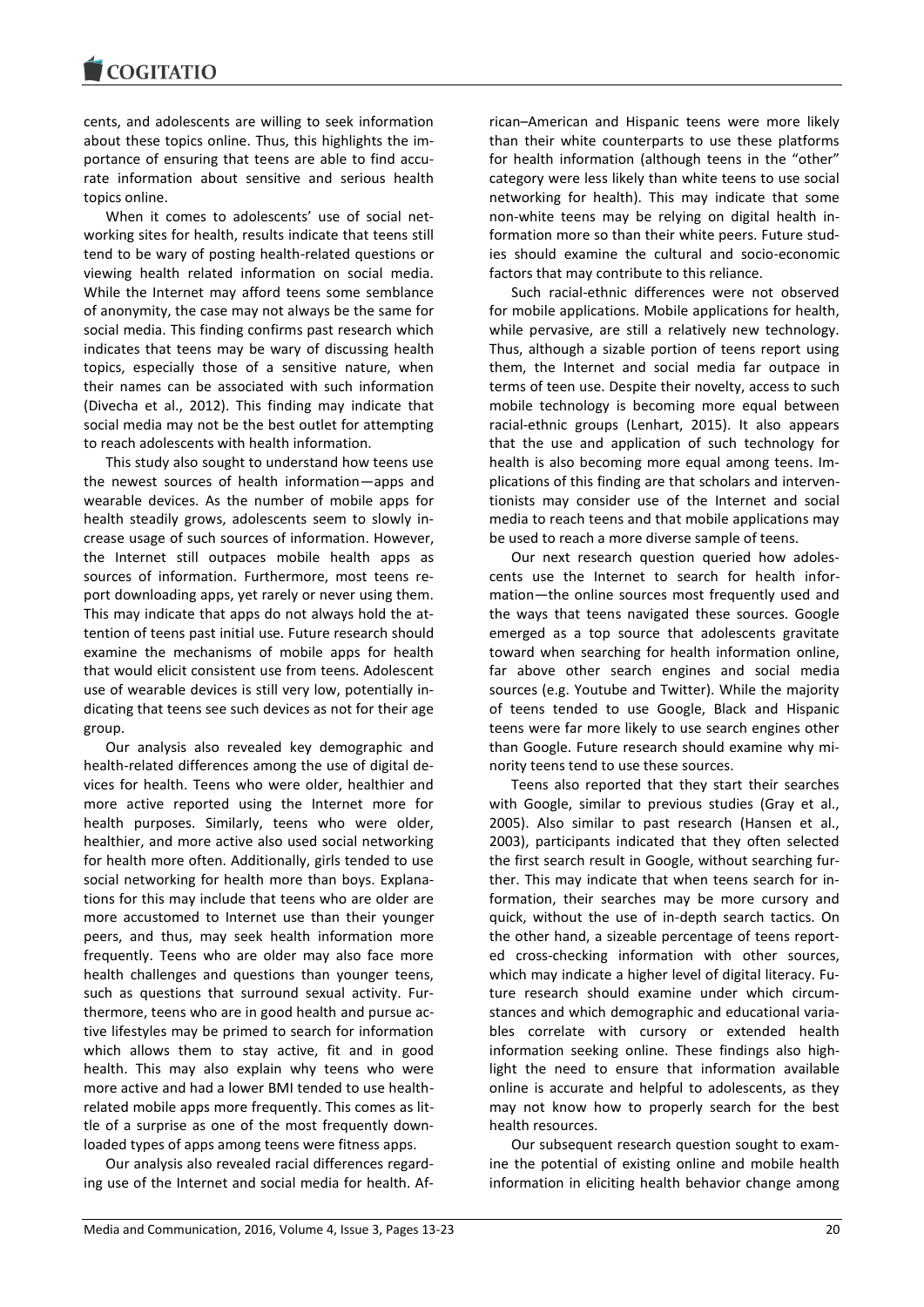cents, and adolescents are willing to seek information about these topics online. Thus, this highlights the importance of ensuring that teens are able to find accurate information about sensitive and serious health topics online.

When it comes to adolescents' use of social networking sites for health, results indicate that teens still tend to be wary of posting health-related questions or viewing health related information on social media. While the Internet may afford teens some semblance of anonymity, the case may not always be the same for social media. This finding confirms past research which indicates that teens may be wary of discussing health topics, especially those of a sensitive nature, when their names can be associated with such information (Divecha et al., 2012). This finding may indicate that social media may not be the best outlet for attempting to reach adolescents with health information.

This study also sought to understand how teens use the newest sources of health information—apps and wearable devices. As the number of mobile apps for health steadily grows, adolescents seem to slowly increase usage of such sources of information. However, the Internet still outpaces mobile health apps as sources of information. Furthermore, most teens report downloading apps, yet rarely or never using them. This may indicate that apps do not always hold the attention of teens past initial use. Future research should examine the mechanisms of mobile apps for health that would elicit consistent use from teens. Adolescent use of wearable devices is still very low, potentially indicating that teens see such devices as not for their age group.

Our analysis also revealed key demographic and health-related differences among the use of digital devices for health. Teens who were older, healthier and more active reported using the Internet more for health purposes. Similarly, teens who were older, healthier, and more active also used social networking for health more often. Additionally, girls tended to use social networking for health more than boys. Explanations for this may include that teens who are older are more accustomed to Internet use than their younger peers, and thus, may seek health information more frequently. Teens who are older may also face more health challenges and questions than younger teens, such as questions that surround sexual activity. Furthermore, teens who are in good health and pursue active lifestyles may be primed to search for information which allows them to stay active, fit and in good health. This may also explain why teens who were more active and had a lower BMI tended to use healthrelated mobile apps more frequently. This comes as little of a surprise as one of the most frequently downloaded types of apps among teens were fitness apps.

Our analysis also revealed racial differences regarding use of the Internet and social media for health. African–American and Hispanic teens were more likely than their white counterparts to use these platforms for health information (although teens in the "other" category were less likely than white teens to use social networking for health). This may indicate that some non-white teens may be relying on digital health information more so than their white peers. Future studies should examine the cultural and socio-economic factors that may contribute to this reliance.

Such racial-ethnic differences were not observed for mobile applications. Mobile applications for health, while pervasive, are still a relatively new technology. Thus, although a sizable portion of teens report using them, the Internet and social media far outpace in terms of teen use. Despite their novelty, access to such mobile technology is becoming more equal between racial-ethnic groups (Lenhart, 2015). It also appears that the use and application of such technology for health is also becoming more equal among teens. Implications of this finding are that scholars and interventionists may consider use of the Internet and social media to reach teens and that mobile applications may be used to reach a more diverse sample of teens.

Our next research question queried how adolescents use the Internet to search for health information—the online sources most frequently used and the ways that teens navigated these sources. Google emerged as a top source that adolescents gravitate toward when searching for health information online, far above other search engines and social media sources (e.g. Youtube and Twitter). While the majority of teens tended to use Google, Black and Hispanic teens were far more likely to use search engines other than Google. Future research should examine why minority teens tend to use these sources.

Teens also reported that they start their searches with Google, similar to previous studies (Gray et al., 2005). Also similar to past research (Hansen et al., 2003), participants indicated that they often selected the first search result in Google, without searching further. This may indicate that when teens search for information, their searches may be more cursory and quick, without the use of in-depth search tactics. On the other hand, a sizeable percentage of teens reported cross-checking information with other sources, which may indicate a higher level of digital literacy. Future research should examine under which circumstances and which demographic and educational variables correlate with cursory or extended health information seeking online. These findings also highlight the need to ensure that information available online is accurate and helpful to adolescents, as they may not know how to properly search for the best health resources.

Our subsequent research question sought to examine the potential of existing online and mobile health information in eliciting health behavior change among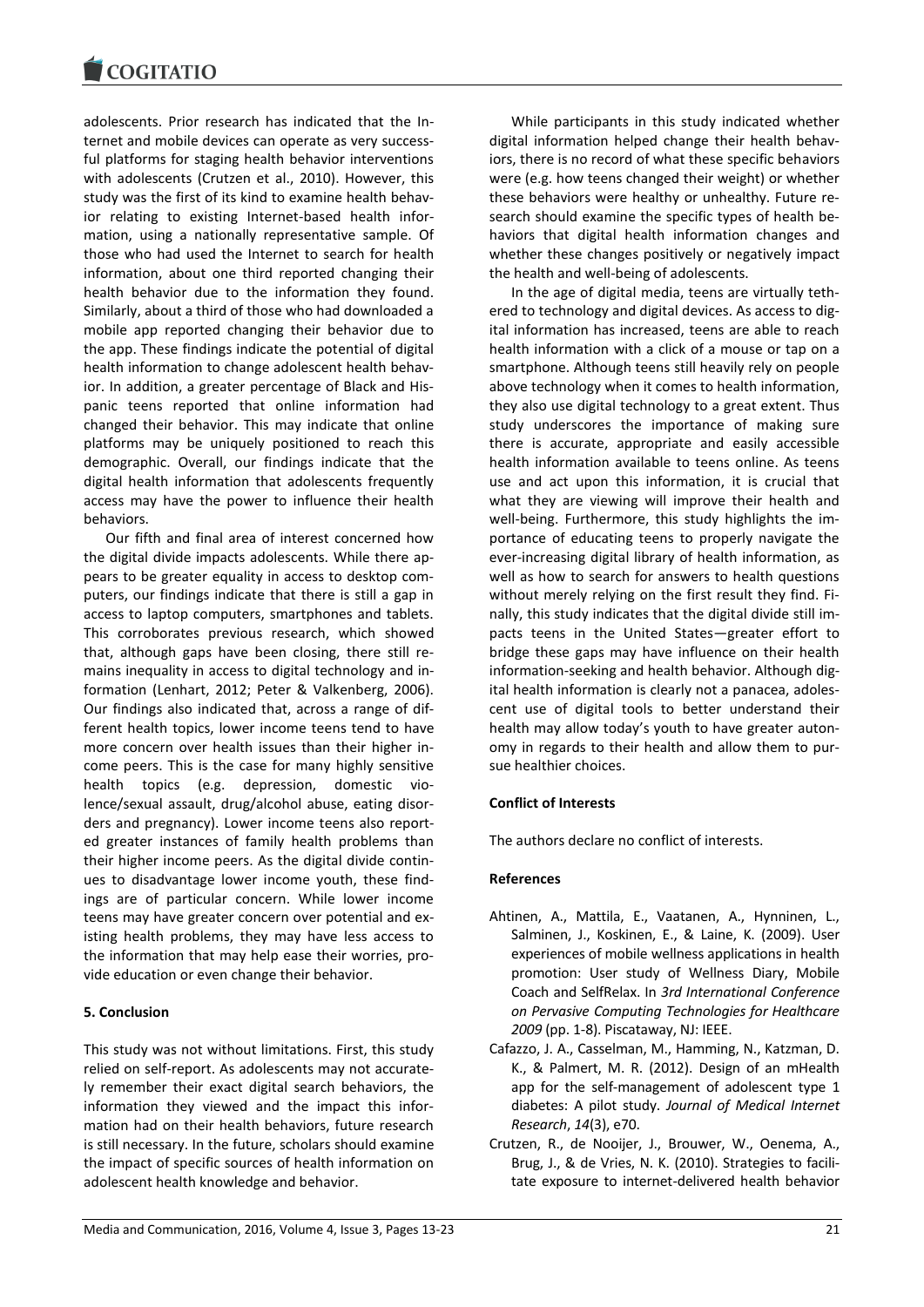

adolescents. Prior research has indicated that the Internet and mobile devices can operate as very successful platforms for staging health behavior interventions with adolescents (Crutzen et al., 2010). However, this study was the first of its kind to examine health behavior relating to existing Internet-based health information, using a nationally representative sample. Of those who had used the Internet to search for health information, about one third reported changing their health behavior due to the information they found. Similarly, about a third of those who had downloaded a mobile app reported changing their behavior due to the app. These findings indicate the potential of digital health information to change adolescent health behavior. In addition, a greater percentage of Black and Hispanic teens reported that online information had changed their behavior. This may indicate that online platforms may be uniquely positioned to reach this demographic. Overall, our findings indicate that the digital health information that adolescents frequently access may have the power to influence their health behaviors.

Our fifth and final area of interest concerned how the digital divide impacts adolescents. While there appears to be greater equality in access to desktop computers, our findings indicate that there is still a gap in access to laptop computers, smartphones and tablets. This corroborates previous research, which showed that, although gaps have been closing, there still remains inequality in access to digital technology and information (Lenhart, 2012; Peter & Valkenberg, 2006). Our findings also indicated that, across a range of different health topics, lower income teens tend to have more concern over health issues than their higher income peers. This is the case for many highly sensitive health topics (e.g. depression, domestic violence/sexual assault, drug/alcohol abuse, eating disorders and pregnancy). Lower income teens also reported greater instances of family health problems than their higher income peers. As the digital divide continues to disadvantage lower income youth, these findings are of particular concern. While lower income teens may have greater concern over potential and existing health problems, they may have less access to the information that may help ease their worries, provide education or even change their behavior.

## **5. Conclusion**

This study was not without limitations. First, this study relied on self-report. As adolescents may not accurately remember their exact digital search behaviors, the information they viewed and the impact this information had on their health behaviors, future research is still necessary. In the future, scholars should examine the impact of specific sources of health information on adolescent health knowledge and behavior.

While participants in this study indicated whether digital information helped change their health behaviors, there is no record of what these specific behaviors were (e.g. how teens changed their weight) or whether these behaviors were healthy or unhealthy. Future research should examine the specific types of health behaviors that digital health information changes and whether these changes positively or negatively impact the health and well-being of adolescents.

In the age of digital media, teens are virtually tethered to technology and digital devices. As access to digital information has increased, teens are able to reach health information with a click of a mouse or tap on a smartphone. Although teens still heavily rely on people above technology when it comes to health information, they also use digital technology to a great extent. Thus study underscores the importance of making sure there is accurate, appropriate and easily accessible health information available to teens online. As teens use and act upon this information, it is crucial that what they are viewing will improve their health and well-being. Furthermore, this study highlights the importance of educating teens to properly navigate the ever-increasing digital library of health information, as well as how to search for answers to health questions without merely relying on the first result they find. Finally, this study indicates that the digital divide still impacts teens in the United States—greater effort to bridge these gaps may have influence on their health information-seeking and health behavior. Although digital health information is clearly not a panacea, adolescent use of digital tools to better understand their health may allow today's youth to have greater autonomy in regards to their health and allow them to pursue healthier choices.

#### **Conflict of Interests**

The authors declare no conflict of interests.

#### **References**

- Ahtinen, A., Mattila, E., Vaatanen, A., Hynninen, L., Salminen, J., Koskinen, E., & Laine, K. (2009). User experiences of mobile wellness applications in health promotion: User study of Wellness Diary, Mobile Coach and SelfRelax. In *3rd International Conference on Pervasive Computing Technologies for Healthcare 2009* (pp. 1-8). Piscataway, NJ: IEEE.
- Cafazzo, J. A., Casselman, M., Hamming, N., Katzman, D. K., & Palmert, M. R. (2012). Design of an mHealth app for the self-management of adolescent type 1 diabetes: A pilot study. *Journal of Medical Internet Research*, *14*(3), e70.
- Crutzen, R., de Nooijer, J., Brouwer, W., Oenema, A., Brug, J., & de Vries, N. K. (2010). Strategies to facilitate exposure to internet-delivered health behavior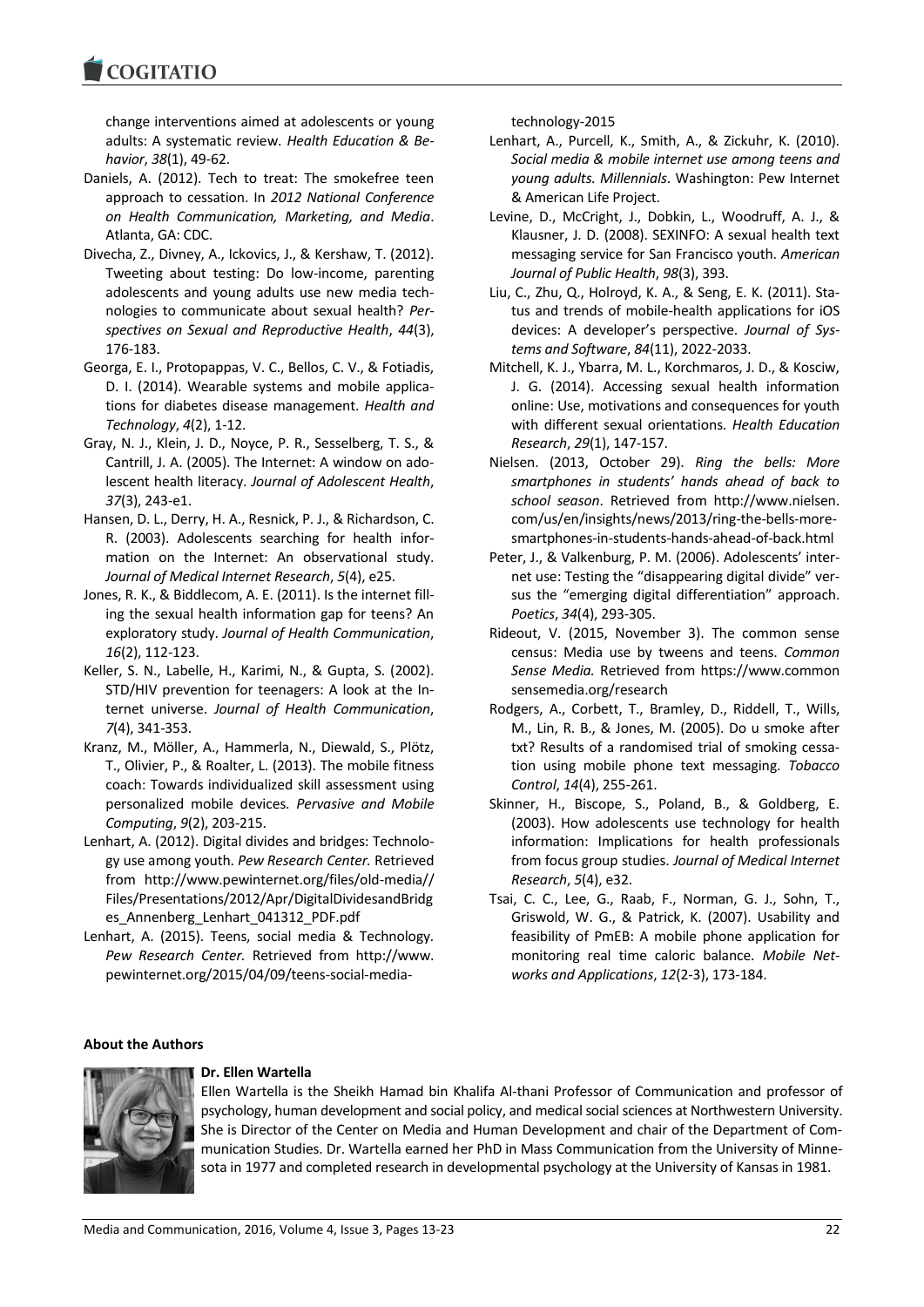change interventions aimed at adolescents or young adults: A systematic review. *Health Education & Behavior*, *38*(1), 49-62.

- Daniels, A. (2012). Tech to treat: The smokefree teen approach to cessation. In *2012 National Conference on Health Communication, Marketing, and Media*. Atlanta, GA: CDC.
- Divecha, Z., Divney, A., Ickovics, J., & Kershaw, T. (2012). Tweeting about testing: Do low-income, parenting adolescents and young adults use new media technologies to communicate about sexual health? *Perspectives on Sexual and Reproductive Health*, *44*(3), 176-183.
- Georga, E. I., Protopappas, V. C., Bellos, C. V., & Fotiadis, D. I. (2014). Wearable systems and mobile applications for diabetes disease management. *Health and Technology*, *4*(2), 1-12.
- Gray, N. J., Klein, J. D., Noyce, P. R., Sesselberg, T. S., & Cantrill, J. A. (2005). The Internet: A window on adolescent health literacy. *Journal of Adolescent Health*, *37*(3), 243-e1.
- Hansen, D. L., Derry, H. A., Resnick, P. J., & Richardson, C. R. (2003). Adolescents searching for health information on the Internet: An observational study. *Journal of Medical Internet Research*, *5*(4), e25.
- Jones, R. K., & Biddlecom, A. E. (2011). Is the internet filling the sexual health information gap for teens? An exploratory study. *Journal of Health Communication*, *16*(2), 112-123.
- Keller, S. N., Labelle, H., Karimi, N., & Gupta, S. (2002). STD/HIV prevention for teenagers: A look at the Internet universe. *Journal of Health Communication*, *7*(4), 341-353.
- Kranz, M., Möller, A., Hammerla, N., Diewald, S., Plötz, T., Olivier, P., & Roalter, L. (2013). The mobile fitness coach: Towards individualized skill assessment using personalized mobile devices. *Pervasive and Mobile Computing*, *9*(2), 203-215.
- Lenhart, A. (2012). Digital divides and bridges: Technology use among youth. *Pew Research Center.* Retrieved from http://www.pewinternet.org/files/old-media// Files/Presentations/2012/Apr/DigitalDividesandBridg es\_Annenberg\_Lenhart\_041312\_PDF.pdf
- Lenhart, A. (2015). Teens, social media & Technology*. Pew Research Center.* Retrieved from http://www. pewinternet.org/2015/04/09/teens-social-media-

technology-2015

- Lenhart, A., Purcell, K., Smith, A., & Zickuhr, K. (2010). *Social media & mobile internet use among teens and young adults. Millennials*. Washington: Pew Internet & American Life Project.
- Levine, D., McCright, J., Dobkin, L., Woodruff, A. J., & Klausner, J. D. (2008). SEXINFO: A sexual health text messaging service for San Francisco youth. *American Journal of Public Health*, *98*(3), 393.
- Liu, C., Zhu, Q., Holroyd, K. A., & Seng, E. K. (2011). Status and trends of mobile-health applications for iOS devices: A developer's perspective. *Journal of Systems and Software*, *84*(11), 2022-2033.
- Mitchell, K. J., Ybarra, M. L., Korchmaros, J. D., & Kosciw, J. G. (2014). Accessing sexual health information online: Use, motivations and consequences for youth with different sexual orientations. *Health Education Research*, *29*(1), 147-157.
- Nielsen. (2013, October 29). *Ring the bells: More smartphones in students' hands ahead of back to school season*. Retrieved from http://www.nielsen. com/us/en/insights/news/2013/ring-the-bells-moresmartphones-in-students-hands-ahead-of-back.html
- Peter, J., & Valkenburg, P. M. (2006). Adolescents' internet use: Testing the "disappearing digital divide" versus the "emerging digital differentiation" approach. *Poetics*, *34*(4), 293-305.
- Rideout, V. (2015, November 3). The common sense census: Media use by tweens and teens. *Common Sense Media.* Retrieved from https://www.common sensemedia.org/research
- Rodgers, A., Corbett, T., Bramley, D., Riddell, T., Wills, M., Lin, R. B., & Jones, M. (2005). Do u smoke after txt? Results of a randomised trial of smoking cessation using mobile phone text messaging. *Tobacco Control*, *14*(4), 255-261.
- Skinner, H., Biscope, S., Poland, B., & Goldberg, E. (2003). How adolescents use technology for health information: Implications for health professionals from focus group studies. *Journal of Medical Internet Research*, *5*(4), e32.
- Tsai, C. C., Lee, G., Raab, F., Norman, G. J., Sohn, T., Griswold, W. G., & Patrick, K. (2007). Usability and feasibility of PmEB: A mobile phone application for monitoring real time caloric balance. *Mobile Networks and Applications*, *12*(2-3), 173-184.

## **About the Authors**



#### **Dr. Ellen Wartella**

Ellen Wartella is the Sheikh Hamad bin Khalifa Al-thani Professor of Communication and professor of psychology, human development and social policy, and medical social sciences at Northwestern University. She is Director of the Center on Media and Human Development and chair of the Department of Communication Studies. Dr. Wartella earned her PhD in Mass Communication from the University of Minnesota in 1977 and completed research in developmental psychology at the University of Kansas in 1981.